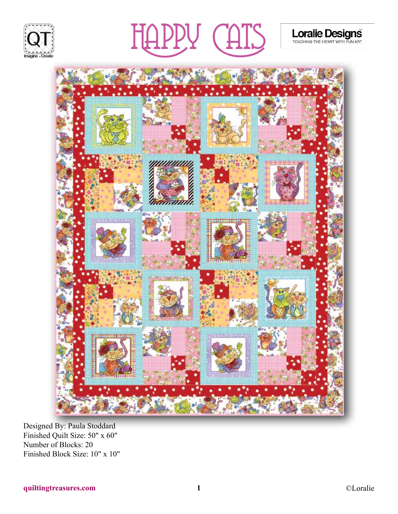





Designed By: Paula Stoddard Finished Quilt Size: 50" x 60" Number of Blocks: 20 Finished Block Size: 10" x 10" Loralie Designs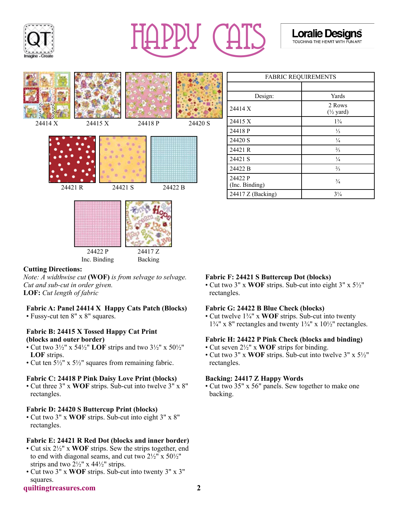





Backing

| <b>FABRIC REQUIREMENTS</b> |                                |
|----------------------------|--------------------------------|
|                            |                                |
| Design:                    | Yards                          |
| 24414 X                    | 2 Rows<br>$(\frac{1}{2}$ yard) |
| 24415 X                    | $1\frac{3}{4}$                 |
| 24418 P                    | $\frac{1}{3}$                  |
| 24420 S                    | $\frac{1}{4}$                  |
| 24421 R                    | $\frac{2}{3}$                  |
| 24421 S                    | $\frac{1}{4}$                  |
| 24422 B                    | $\frac{2}{3}$                  |
| 24422 P<br>(Inc. Binding)  | $\frac{3}{4}$                  |
| 24417 Z (Backing)          | $3\frac{1}{4}$                 |

# **Cutting Directions:**

*Note: A widthwise cut* **(WOF)** *is from selvage to selvage. Cut and sub-cut in order given.* **LOF:** *Cut length of fabric*

Inc. Binding

### **Fabric A: Panel 24414 X Happy Cats Patch (Blocks)**

• Fussy-cut ten 8" x 8" squares.

### **Fabric B: 24415 X Tossed Happy Cat Print (blocks and outer border)**

- Cut two  $3\frac{1}{2}$ " x  $54\frac{1}{2}$ " **LOF** strips and two  $3\frac{1}{2}$ " x  $50\frac{1}{2}$ " **LOF** strips.
- Cut ten 5½" x 5½" squares from remaining fabric.

#### **Fabric C: 24418 P Pink Daisy Love Print (blocks)**

• Cut three 3" x **WOF** strips. Sub-cut into twelve 3" x 8" rectangles.

#### **Fabric D: 24420 S Buttercup Print (blocks)**

• Cut two 3" x **WOF** strips. Sub-cut into eight 3" x 8" rectangles.

#### **Fabric E: 24421 R Red Dot (blocks and inner border)**

- Cut six 2½" x **WOF** strips. Sew the strips together, end to end with diagonal seams, and cut two  $2\frac{1}{2}$ " x  $50\frac{1}{2}$ " strips and two  $2\frac{1}{2}$ " x 44 $\frac{1}{2}$ " strips.
- Cut two 3" x **WOF** strips. Sub-cut into twenty 3" x 3" squares.

# **Fabric F: 24421 S Buttercup Dot (blocks)**

• Cut two 3" x **WOF** strips. Sub-cut into eight 3" x 5½" rectangles.

#### **Fabric G: 24422 B Blue Check (blocks)**

• Cut twelve 1¾" x **WOF** strips. Sub-cut into twenty  $1\frac{3}{4}$ " x 8" rectangles and twenty  $1\frac{3}{4}$ " x  $10\frac{1}{2}$ " rectangles.

#### **Fabric H: 24422 P Pink Check (blocks and binding)**

- Cut seven 2½" x **WOF** strips for binding.
- Cut two 3" x **WOF** strips. Sub-cut into twelve 3" x 5½" rectangles.

#### **Backing: 24417 Z Happy Words**

• Cut two 35" x 56" panels. Sew together to make one backing.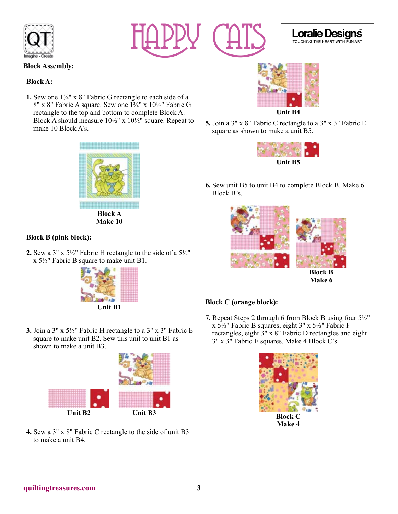



### **Block Assembly:**

#### **Block A:**

**1.** Sew one 1¾" x 8" Fabric G rectangle to each side of a 8" x 8" Fabric A square. Sew one 1¾" x 10½" Fabric G rectangle to the top and bottom to complete Block A. Block A should measure  $10\frac{1}{2}$ " x  $10\frac{1}{2}$ " square. Repeat to make 10 Block A's.



**Block A Make 10**

# **Block B (pink block):**

**2.** Sew a 3" x 5½" Fabric H rectangle to the side of a 5½" x 5½" Fabric B square to make unit B1.



**3.** Join a 3" x 5½" Fabric H rectangle to a 3" x 3" Fabric E square to make unit B2. Sew this unit to unit B1 as shown to make a unit B3.



**4.** Sew a 3" x 8" Fabric C rectangle to the side of unit B3 to make a unit B4.



**Loralie D** 

TOUCHING THE HEART WITH FUN ART

ans

**5.** Join a 3" x 8" Fabric C rectangle to a 3" x 3" Fabric E square as shown to make a unit B5.



**6.** Sew unit B5 to unit B4 to complete Block B. Make 6 Block B's.



**Make 6**

#### **Block C (orange block):**

**7.** Repeat Steps 2 through 6 from Block B using four 5½" x 5½" Fabric B squares, eight 3" x 5½" Fabric F rectangles, eight 3" x 8" Fabric D rectangles and eight 3" x 3" Fabric E squares. Make 4 Block C's.